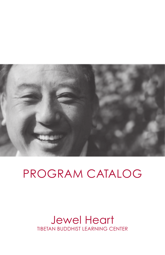

# PROGRAM CATALOG

# Jewel Heart TIBETAN BUDDHIST LEARNING CENTER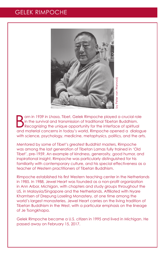# GELEK RIMPOCHE



B orn in 1939 in Lhasa, Tibet, Gelek Rimpoche played a crucial role in the survival and transmission of traditional Tibetan Buddhism. Recognizing the unique opportunity for the interface of spiritual and material concerns in today's world, Rimpoche opened a dialogue with science, psychology, medicine, metaphysics, politics, and the arts.

Mentored by some of Tibet's greatest Buddhist masters, Rimpoche was among the last generation of Tibetan Lamas fully trained in 'Old Tibet', pre-1959. An example of kindness, generosity, good humor, and inspirational insight, Rimpoche was particularly distinguished for his familiarity with contemporary culture, and his special effectiveness as a teacher of Western practitioners of Tibetan Buddhism.

Rimpoche established his first Western teaching center in the Netherlands in 1985. In 1988, Jewel Heart was founded as a non-profit organization in Ann Arbor, Michigan, with chapters and study groups throughout the US, in Malaysia/Singapore and the Netherlands. Affiliated with Nyare Khamtsen of Drepung Loseling Monastery, at one time among the world's largest monasteries, Jewel Heart carries on the living tradition of Tibetan Buddhism in the West, with a particular emphasis on the lineage of Je Tsongkhapa.

Gelek Rimpoche became a U.S. citizen in 1995 and lived in Michigan. He passed away on February 15, 2017.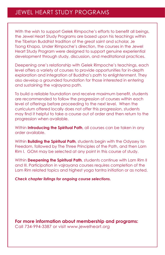With the wish to support Gelek Rimpoche's efforts to benefit all beings, the Jewel Heart Study Programs are based upon his teachings within the Tibetan Buddhist tradition of the great saint and scholar, Je Tsong Khapa. Under Rimpoche's direction, the courses in the Jewel Heart Study Program were designed to support genuine experiential development through study, discussion, and meditational practices.

Deepening one's relationship with Gelek Rimpoche's teachings, each level offers a variety of courses to provide opportunities for in-depth exploration and integration of Buddha's path to enlightenment. They also develop a grounded foundation for those interested in entering and sustaining the vajrayana path.

To build a reliable foundation and receive maximum benefit, students are recommended to follow the progression of courses within each level of offerings before proceeding to the next level. When the curriculum offered locally does not offer this progression, students may find it helpful to take a course out of order and then return to the progression when available.

Within **Introducing the Spiritual Path**, all courses can be taken in any order available.

Within **Building the Spiritual Path**, students begin with the Odyssey to Freedom, followed by The Three Principles of the Path, and then Lam Rim I. GOM may be selected at any point in this course of study.

Within **Deepening the Spiritual Path**, students continue with Lam Rim II and III. Participation in vajrayana courses requires completion of the Lam Rim related topics and highest yoga tantra initiation or as noted.

*Check chapter listings for ongoing course selections.*

**For more information about membership and programs:** Call 734-994-3387 or visit www.jewelheart.org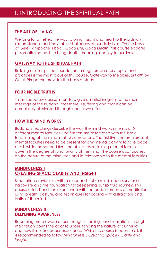#### **THE ART OF LIVING**

We long for an effective way to bring insight and heart to the ordinary circumstances and inevitable challenges of our daily lives. On the basis of Gelek Rimpoche's book, *Good Life, Good Death*, this course explores pragmatic methods to bring depth, meaning, and joy to our lives.

#### **GATEWAY TO THE SPIRITUAL PATH**

Building a solid spiritual foundation through preparatory topics and practices is the main focus of this course. *Gateway to the Spiritual Path* by Gelek Rimpoche provides the basis of study.

#### **FOUR NOBLE TRUTHS**

This introductory course intends to give an initial insight into the main message of the Buddha: that there is suffering and that it can be completely eliminated through one's own efforts.

#### **HOW THE MIND WORKS**

Buddha's teachings describe the way the mind works in terms of 51 different mental faculties. The first ten are associated with the basic functioning of the mind in all circumstances. The first five, the omnipresent mental faculties need to be present for any mental activity to take place at all, while the second five, the object-ascertaining mental faculties, govern the degree of functionality of the mind. The course also touches on the nature of the mind itself and its relationship to the mental faculties.

#### **MINDFULNESS I CREATING SPACE: CLARITY AND INSIGHT**

Meditation provides us with a clear and stable mind, necessary for a happy life and the foundation for deepening our spiritual journey. This course offers hands-on experience with the basic elements of meditation using breath, posture, and techniques for coping with distractions and laxity of the mind.

#### **MINDFULNESS II DEEPENING AWARENESS**

Becoming more aware of our thoughts, feelings, and sensations through meditation opens the door to understanding the nature of our mind and how it influences our experience. While this course is open to all, it is recommended to follow *Mindfulness I: Creating Space - Clarity and Insight.*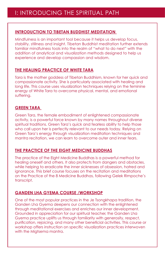#### **INTRODUCTION TO TIBETAN BUDDHIST MEDITATION**

Mindfulness is an important tool because it helps us develop focus, stability, stillness and insight. Tibetan Buddhist meditation further extends familiar mindfulness tools into the realm of "what to do next" with the addition of analytical and visualization methods designed to help us experience and develop compassion and wisdom.

# **THE HEALING PRACTICE OF WHITE TARA**

Tara is the mother goddess of Tibetan Buddhism, known for her quick and compassionate activity. She is particularly associated with healing and long life. This course uses visualization techniques relying on the feminine energy of White Tara to overcome physical, mental, and emotional suffering.

# **GREEN TARA**

Green Tara, the female embodiment of enlightened compassionate activity, is a powerful force known by many names throughout diverse spiritual traditions. Green Tara's quick and fearless ability to help those who call upon her is perfectly relevant to our needs today. Relying on Green Tara's energy through visualization meditation techniques and mantra recitation, we can learn to overcome outer and inner fears.

# **THE PRACTICE OF THE EIGHT MEDICINE BUDDHAS**

The practice of the Eight Medicine Buddhas is a powerful method for healing oneself and others. It also protects from dangers and obstacles, while helping to eradicate the inner sicknesses of obsession, hatred and ignorance. This brief course focuses on the recitation and meditations on the Practice of the 8 Medicine Buddhas, following Gelek Rimpoche's transcript.

# **GANDEN LHA GYEMA COURSE /WORKSHOP**

One of the most popular practices in the Je Tsongkhapa tradition, the Ganden Lha Gyema deepens our connection with the enlightened through meditational exercises and enriches our inner development. Grounded in appreciation for our spiritual teacher, the Ganden Lha Gyema practice uplifts us through familiarity with generosity, respect, purification, rejoicing, and many other beneficial activities. This course or workshop offers instruction on specific visualization practices interwoven with the Migtsema mantra.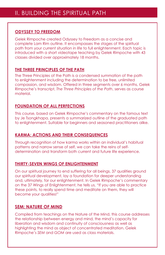# **ODYSSEY TO FREEDOM**

Gelek Rimpoche created Odyssey to Freedom as a concise and complete Lam Rim outline. It encompasses the stages of the spiritual path from your current situation in life to full enlightenment. Each topic is introduced with a short videotape teaching by Gelek Rimpoche with 43 classes divided over approximately 18 months.

# **THE THREE PRINCIPLES OF THE PATH**

The Three Principles of the Path is a condensed summation of the path to enlightenment including the determination to be free, unlimited compassion, and wisdom. Offered in three segments over 6 months, Gelek Rimpoche's transcript, *The Three Principles of the Path*, serves as course material.

# **FOUNDATION OF ALL PERFECTIONS**

This course, based on Gelek Rimpoche's commentary on the famous text by Je Tsongkhapa, presents a summarized outline of the graduated path to enlightenment. Suitable for beginners and seasoned practitioners alike.

# **KARMA: ACTIONS AND THEIR CONSEQUENCES**

Through recognition of how karma works within an individual's habitual patterns and narrow sense of self, we can take the reins of selfdetermination and transform both current and future life experience.

# **THIRTY-SEVEN WINGS OF ENLIGHTENMENT**

On our spiritual journey to end suffering for all beings, 37 qualities ground our spiritual development, lay a foundation for deeper understanding and, ultimately, for our enlightenment. In Gelek Rimpoche's commentary on the 37 Wings of Enlightenment, he tells us, "If you are able to practice these points, to really spend time and meditate on them, they will become your qualities!"

# **SEM: NATURE OF MIND**

Compiled from teachings on the Nature of the Mind, this course addresses the relationship between energy and mind, the mind's capacity for liberation and wisdom and continuity of consciousness as well as highlighting the mind as object of concentrated meditation. Gelek Rimpoche's *SEM* and *GOM* are used as class materials.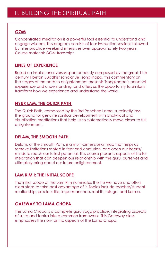# **GOM**

Concentrated meditation is a powerful tool essential to understand and engage wisdom. This program consists of four instruction sessions followed by nine practice weekend intensives over approximately two years. Course material: *GOM* transcript.

#### **LINES OF EXPERIENCE**

Based on inspirational verses spontaneously composed by the great 14th century Tibetan Buddhist scholar Je Tsongkhapa, this commentary on the stages of the path to enlightenment presents Tsongkhapa's personal experience and understanding, and offers us the opportunity to similarly transform how we experience and understand the world.

#### **NYUR LAM, THE QUICK PATH**

The Quick Path, composed by the 3rd Panchen Lama, succinctly lays the ground for genuine spiritual development with analytical and visualization meditations that help us to systematically move closer to full enlightenment.

#### **DELAM, THE SMOOTH PATH**

Delam, or the Smooth Path, is a multi-dimensional map that helps us remove limitations rooted in fear and confusion, and open our hearts/ minds to reach our fullest potential. This course presents aspects of life for meditation that can deepen our relationship with the guru, ourselves and ultimately bring about our future enlightenment.

# **LAM RIM I: THE INITIAL SCOPE**

The initial scope of the Lam Rim illuminates the life we have and offers clear steps to take best advantage of it. Topics include teacher/student relationship, precious life, impermanence, rebirth, refuge, and karma.

#### **GATEWAY TO LAMA CHOPA**

The Lama Chopa is a complete guru yoga practice, integrating aspects of sutra and tantra into a common framework. This Gateway class emphasizes the non-tantric aspects of the Lama Chopa.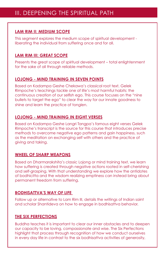# **LAM RIM II: MEDIUM SCOPE**

This segment explores the medium scope of spiritual development liberating the individual from suffering once and for all.

# **LAM RIM III: GREAT SCOPE**

Presents the great scope of spiritual development – total enlightenment for the sake of all through reliable methods.

# **LOJONG - MIND TRAINING IN SEVEN POINTS**

Based on Kadampa Geshe Chekawa's classical root text, Gelek Rimpoche's teachings tackle one of life's most harmful habits: the continuous creation of our selfish ego. This course focuses on the "nine bullets to target the ego" to clear the way for our innate goodness to shine and learn the practice of tonglen.

# **LOJONG - MIND TRAINING IN EIGHT VERSES**

Based on Kadampa Geshe Langri Tangpa's famous eight verses Gelek Rimpoche's transcript is the source for this course that introduces precise methods to overcome negative ego patterns and gain happiness, such as the meditation on exchanging self with others and the practice of giving and taking.

# **WHEEL OF SHARP WEAPONS**

Based on Dharmarakshita's classic Lojong or mind training text, we learn how suffering is created through negative actions rooted in self-cherishing and self-grasping. With that understanding we explore how the antidotes of bodhicitta and the wisdom realizing emptiness can instead bring about permanent freedom from suffering.

# **BODHISATTVA'S WAY OF LIFE**

Follow up or alternative to Lam Rim III, details the writings of Indian saint and scholar Shantideva on how to engage in bodhisattva behavior.

#### **THE SIX PERFECTIONS**

Buddha teaches it is important to clear our inner obstacles and to deepen our capacity to be loving, compassionate and wise. The Six Perfections highlight that process through recognition of how we conduct ourselves in every day life in contrast to the six bodhisattva activities of generosity,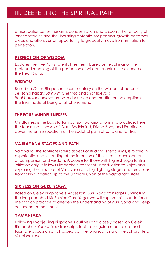ethics, patience, enthusiasm, concentration and wisdom. The tenacity of inner obstacles and the liberating potential for personal growth becomes clear, and affords us an opportunity to gradually move from limitation to perfection.

#### **PERFECTION OF WISDOM**

Explores the Five Paths to enlightenment based on teachings of the profound meaning of the perfection of wisdom mantra, the essence of the Heart Sutra.

#### **WISDOM**

Based on Gelek Rimpoche's commentary on the wisdom chapter of Je Tsongkhapa's *Lam Rim Chenmo* and Shantideva's *Bodhisattvacharyavatara* with discussion and meditation on emptiness, the final mode of being of all phenomena.

#### **THE FOUR MINDFULNESSES**

Mindfulness is the basis to turn our spiritual aspirations into practice. Here the four mindfulnesses of Guru, Bodhimind, Divine Body and Emptiness cover the entire spectrum of the Buddhist path of sutra and tantra.

# **VAJRAYANA STAGES AND PATH**

Vajrayana, the tantric/esoteric aspect of Buddha's teachings, is rooted in experiential understanding of the intention of the sutras – development of compassion and wisdom. A course for those with highest yoga tantra initiation only, it follows Rimpoche's transcript, Introduction to Vajrayana, exploring the structure of Vajrayana and highlighting stages and practices from taking initiation up to the ultimate union of the Vajradhara state.

# **SIX SESSION GURU YOGA**

Based on Gelek Rimpoche's *Six Session Guru Yoga* transcript illuminating the long and short Six Session Guru Yoga, we will explore this foundational meditation practice to deepen the understanding of guru yoga and keep vajrayana commitments.

# **YAMANTAKA**

Following Kyabje Ling Rinpoche's outlines and closely based on Gelek Rimpoche's *Yamantaka* transcript, facilitators guide meditations and facilitate discussion on all aspects of the long sadhana of the Solitary Hero Vajrabhairava.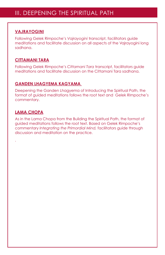# **VAJRAYOGINI**

Following Gelek Rimpoche's *Vajrayogini* transcript, facilitators guide meditations and facilitate discussion on all aspects of the Vajrayogini long sadhana.

# **CITTAMANI TARA**

Following Gelek Rimpoche's *Cittamani Tara* transcript, facilitators guide meditations and facilitate discussion on the Cittamani Tara sadhana.

# **GANDEN LHAGYEMA KAGYAMA**

Deepening the Ganden Lhagyema of Introducing the Spiritual Path, the format of guided meditations follows the root text and Gelek Rimpoche's commentary.

# **LAMA CHOPA**

.

As in the Lama Chopa from the Building the Spiritual Path, the format of guided meditations follows the root text. Based on Gelek Rimpoche's commentary *Integrating the Primordial Mind,* facilitators guide through discussion and meditation on the practice.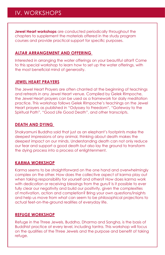**Jewel Heart workshops** are conducted periodically throughout the chapters to supplement the materials offered in the study program courses and provide practical support for specific purposes.

# **ALTAR ARRANGEMENT AND OFFERING**

Interested in arranging the water offerings on your beautiful altar? Come to this special workshop to learn how to set up the water offerings, with the most beneficial mind of generosity.

# **JEWEL HEART PRAYERS**

The Jewel Heart Prayers are often chanted at the beginning of teachings and retreats in any Jewel Heart venue. Compiled by Gelek Rimpoche, the Jewel Heart prayers can be used as a framework for daily meditation practice. This workshop follows Gelek Rimpoche's teachings on the Jewel Heart prayers as published in "Odyssey to Freedom", "Gateway to the Spiritual Path", "Good Life Good Death", and other transcripts.

# **DEATH AND DYING**

Shakyamuni Buddha said that just as an elephant's footprints make the deepest impressions of any animal, thinking about death makes the deepest impact on our minds. Understanding death can not only reduce our fear and support a good death but also lay the ground to transform the dying process into a process of enlightenment.

# **KARMA WORKSHOP**

Karma seems to be straightforward on the one hand and overwhelmingly complex on the other. How does the collective aspect of karma play out when taking responsibility for yourself and others? How does karma work with dedication or receiving blessings from the guru? Is it possible to ever fully clear our negativity and build our positivity, given the complexities of motivation, action and completion? Bring your own questions/insights and help us move from what can seem to be philosophical projections to actual feet-on-the-ground realities of everyday life.

# **REFUGE WORKSHOP**

Refuge in the Three Jewels, Buddha, Dharma and Sangha, is the basis of Buddhist practice at every level, including tantra. This workshop will focus on the qualities of the Three Jewels and the purpose and benefit of taking refuge.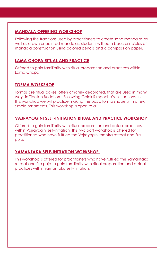# **MANDALA OFFERING WORKSHOP**

Following the traditions used by practitioners to create sand mandalas as well as drawn or painted mandalas, students will learn basic principles of mandala construction using colored pencils and a compass on paper.

# **LAMA CHOPA RITUAL AND PRACTICE**

Offered to gain familiarity with ritual preparation and practices within Lama Chopa.

# **TORMA WORKSHOP**

Tormas are ritual cakes, often ornately decorated, that are used in many ways in Tibetan Buddhism. Following Gelek Rimpoche's instructions, in this workshop we will practice making the basic torma shape with a few simple ornaments. This workshop is open to all.

# **VAJRAYOGINI SELF-INITIATION RITUAL AND PRACTICE WORKSHOP**

Offered to gain familiarity with ritual preparation and actual practices within Vajrayogini self-initiation, this two part workshop is offered for practitioners who have fulfilled the Vajrayogini mantra retreat and fire puja.

# **YAMANTAKA SELF-INITIATION WORKSHOP**

This workshop is offered for practitioners who have fulfilled the Yamantaka retreat and fire puja to gain familiarity with ritual preparation and actual practices within Yamantaka self-initiation,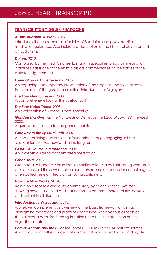#### **TRANSCRIPTS BY GELEK RIMPOCHE**

#### *A Little Buddhist Wisdom.* 2012.

Introduces the fundamental principles of Buddhism and gives practical meditation guidance. Also includes a description of the historical development on Buddhism.

#### *Delam.* 2012.

Composed by the Third Panchen Lama with special emphasis on meditation practices, this is one of the eight classical commentaries on the stages of the path to Enlightenment.

#### *Foundation of All Perfections.* 2013.

An engaging contemporary presentation of the stages of the spiritual path, from the role of the guru to a practical introduction to Vajrayana.

*The Four Mindfulnesses.* 2008. A comprehensive look at the spiritual path.

*The Four Noble Truths.* 2008. An explanation of Buddha's core teaching

*Ganden Lha Gyema; The Hundreds of Deities of the Land of Joy.* 1991; revised 2002.

A guru yoga practice for the general public.

#### *Gateway to the Spiritual Path.* 2007.

Aimed at building a solid spiritual foundation through engaging in issues relevant for our lives, now and in the long term.

*GOM – A Course in Meditation.* 2005. An in-depth guide to concentrated meditation.

#### *Green Tara.* 2018.

Green Tara, a buddha whose iconic manifestation is a radiant young woman, is quick to help all those who call on her to overcome outer and inner challenges, often called the eight fears of spiritual practitioners.

#### *How the Mind Works.* 2014.

Based on a root text and auto-commentary by Kachen Yeshe Gyeltsen, showing how to use mind and its functions to become more realistic, capable, and resilient in all situations.

#### *Introduction to Vajrayana.* 2013.

A brief, yet comprehensive overview of the basic framework of tantra, highlighting the stages and practices contained within various aspects of the vajrayana path, from taking initiation up to the ultimate union of the Vajradhara state.

*Karma: Actions and their Consequences.* 1991; revised 2004, half-size format. An introduction to the concept of karma and how to deal with it in daily life.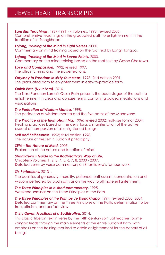# JEWEL HEART TRANSCRIPTS

*Lam Rim Teachings.* 1987-1991 - 4 volumes. 1993; revised 2005. Comprehensive teachings on the graduated path to enlightenment in the tradition of Je Tsongkhapa.

*Lojong, Training of the Mind in Eight Verses.* 2000. Commentary on mind training based on the root text by Langri Tangpa.

*Lojong, Training of the Mind in Seven Points.* 2000. Commentary on the mind training based on the root text by Geshe Chekawa.

*Love and Compassion.* 1992; revised 1997. The altruistic mind and the six perfections.

**Odyssey to Freedom in sixty-four steps.** 1998; 2nd edition 2001. The graduated path to enlightenment in easy-to-practice form.

#### *Quick Path (Nyur Lam).* 2016.

The Third Panchen Lama's Quick Path presents the basic stages of the path to enlightenment in clear and concise terms, combining guided meditations and visualizations.

#### *The Perfection of Wisdom Mantra.* 1998. The perfection of wisdom mantra and the five paths of the Mahayana.

**The Practice of the Triumphant Ma.** 1996: revised 2002; half-size format 2004. Healing practices based on the deity Tara, a manifestation of the active aspect of compassion of all enlightened beings.

*Self and Selflessness.* 1993; third edition 1998. The nature of the self in Buddhist philosophy.

#### *SEM – The Nature of Mind.* 2005.

Exploration of the nature and function of mind.

#### *Shantideva's Guide to the Bodhisattva's Way of Life,*

Chapters/Volumes 1, 2, 3, 4, 5, 6, 7, 8. 2000 - 2007. Detailed verse by verse commentary on Shantideva's famous work.

#### *Six Perfections.* 2013 .

The qualities of generosity, morality, patience, enthusiasm, concentration and wisdom perfected by bodhisattvas on the way to ultimate enlightenment.

*The Three Principles in a short commentary.* 1995. Weekend seminar on the Three Principles of the Path.

*The Three Principles of the Path by Je Tsongkhapa,* 1994; revised 2003, 2004. Detailed commentary on the Three Principles of the Path: determination to be free; altruism, and perfect view.

#### *Thirty-Seven Practices of a Bodhisattva.* 2014.

This classic Tibetan text in verse by the 14th century spiritual teacher Togme Zangpo leads through the main elements of the entire Buddhist Path, with emphasis on the training required to attain enlightenment for the benefit of all beings.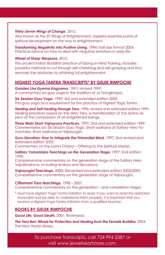#### *Thirty-Seven Wings of Change.* 2012.

Also known as the 37 Wings of Enlightenment, explains essential points of spiritual development on the way to enlightenment.

*Transforming Negativity into Positive Living.* 1994; half-size format 2004. Practical advice on how to deal with negative emotions in daily life.

#### *Wheel of Sharp Weapons.* 2010.

This ancient Indian Buddhist practice of lojong or Mind Training, includes powerful methods to cut through self-cherishing and self-grasping and thus removes the obstacles to attaining full enlightenment.

#### **HIGHEST YOGA TANTRA TRANSCRIPTS\* BY GELEK RIMPOCHE**

*Ganden Lha Gyema Kagyama*. 1991; revised 1999. A commentary on guru yoga in the tradition of Je Tsongkhapa.

*Six Session Guru Yoga.* 1992; 3rd and extended edition 2003. The guru yoga as a requirement for the practice of Highest Yoga Tantra.

*Healing and Self-healing through Tara.* 1996; revised and extended edition 1999. Healing practices based on the deity Tara, a manifestation of the active aspect of the compassion of all enlightened beings.

*Three Main Short Vajrayana Practices.* 1997; 2nd and extended edition 1999. Commentaries on: Six Session Guru Yoga, Short sadhana of Solitary Hero Yamantaka, Short sadhana of Vajrayogini.

**Guru Devotion: How to Integrate the Primordial Mind.** 1997; 2nd revised and extended edition 2003.

Commentary on the Lama Chöpa – Offering to the Spiritual Master.

*Solitary Yamantaka Teachings on the Generation Stage.* 1997; 2nd edition 1998.

Comprehensive commentary on the generation stage of the Solitary Hero Vajrabhairava, including reviews and discussions.

*Vajrayogini Teachings.* 2000; 3rd revised and extended edition 2003/2005. Comprehensive commentary on the generation stage of Vajrayogini.

#### *Cittamani Tara teachings.* 1998 – 2007.

Comprehensive commentary on the generation – and completion stages

*\* Must have Highest Yoga Tantra initiation to read. If you want to read the restricted transcripts and be able to understand them properly, it is important that you receive a Highest Yoga Tantra initiation from a qualified teacher.*

#### **BOOKS BY GELEK RIMPOCHE**

*Good Life, Good Death.* 2001, Riverhead.

*The Tara Box: Rituals for Protection and Healing from the Female Buddha.* 2004, The New World Library.

> To purchase transcripts, call 734 994 3387 or visit www.jewelheartstore.com.